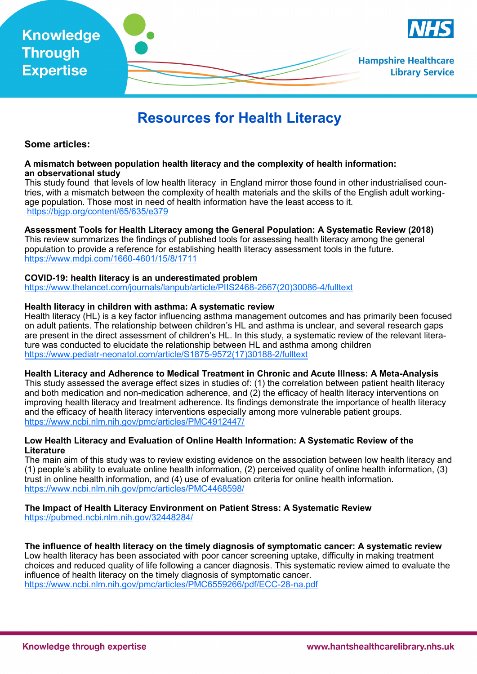

# **Resources for Health Literacy**

# **Some articles:**

# **A mismatch between population health literacy and the complexity of health information: an observational study**

This study found that levels of low health literacy in England mirror those found in other industrialised countries, with a mismatch between the complexity of health materials and the skills of the English adult workingage population. Those most in need of health information have the least access to it. <https://bjgp.org/content/65/635/e379>

# **Assessment Tools for Health Literacy among the General Population: A Systematic Review (2018)**

This review summarizes the findings of published tools for assessing health literacy among the general population to provide a reference for establishing health literacy assessment tools in the future. [https://www.mdpi.com/1660](https://www.mdpi.com/1660-4601/15/8/1711)-4601/15/8/1711

# **COVID-19: health literacy is an underestimated problem**

[https://www.thelancet.com/journals/lanpub/article/PIIS2468](https://www.thelancet.com/journals/lanpub/article/PIIS2468-2667(20)30086-4/fulltext)-2667(20)30086-4/fulltext

#### **Health literacy in children with asthma: A systematic review**

Health literacy (HL) is a key factor influencing asthma management outcomes and has primarily been focused on adult patients. The relationship between children's HL and asthma is unclear, and several research gaps are present in the direct assessment of children's HL. In this study, a systematic review of the relevant literature was conducted to elucidate the relationship between HL and asthma among children https://www.pediatr-[neonatol.com/article/S1875](https://www.pediatr-neonatol.com/article/S1875-9572(17)30188-2/fulltext)-9572(17)30188-2/fulltext

# **Health Literacy and Adherence to Medical Treatment in Chronic and Acute Illness: A Meta-Analysis**

This study assessed the average effect sizes in studies of: (1) the correlation between patient health literacy and both medication and non-medication adherence, and (2) the efficacy of health literacy interventions on improving health literacy and treatment adherence. Its findings demonstrate the importance of health literacy and the efficacy of health literacy interventions especially among more vulnerable patient groups. <https://www.ncbi.nlm.nih.gov/pmc/articles/PMC4912447/>

#### **Low Health Literacy and Evaluation of Online Health Information: A Systematic Review of the Literature**

The main aim of this study was to review existing evidence on the association between low health literacy and (1) people's ability to evaluate online health information, (2) perceived quality of online health information, (3) trust in online health information, and (4) use of evaluation criteria for online health information. <https://www.ncbi.nlm.nih.gov/pmc/articles/PMC4468598/>

# **The Impact of Health Literacy Environment on Patient Stress: A Systematic Review**

<https://pubmed.ncbi.nlm.nih.gov/32448284/>

**The influence of health literacy on the timely diagnosis of symptomatic cancer: A systematic review**  Low health literacy has been associated with poor cancer screening uptake, difficulty in making treatment choices and reduced quality of life following a cancer diagnosis. This systematic review aimed to evaluate the influence of health literacy on the timely diagnosis of symptomatic cancer. [https://www.ncbi.nlm.nih.gov/pmc/articles/PMC6559266/pdf/ECC](https://www.ncbi.nlm.nih.gov/pmc/articles/PMC6559266/pdf/ECC-28-na.pdf)-28-na.pdf